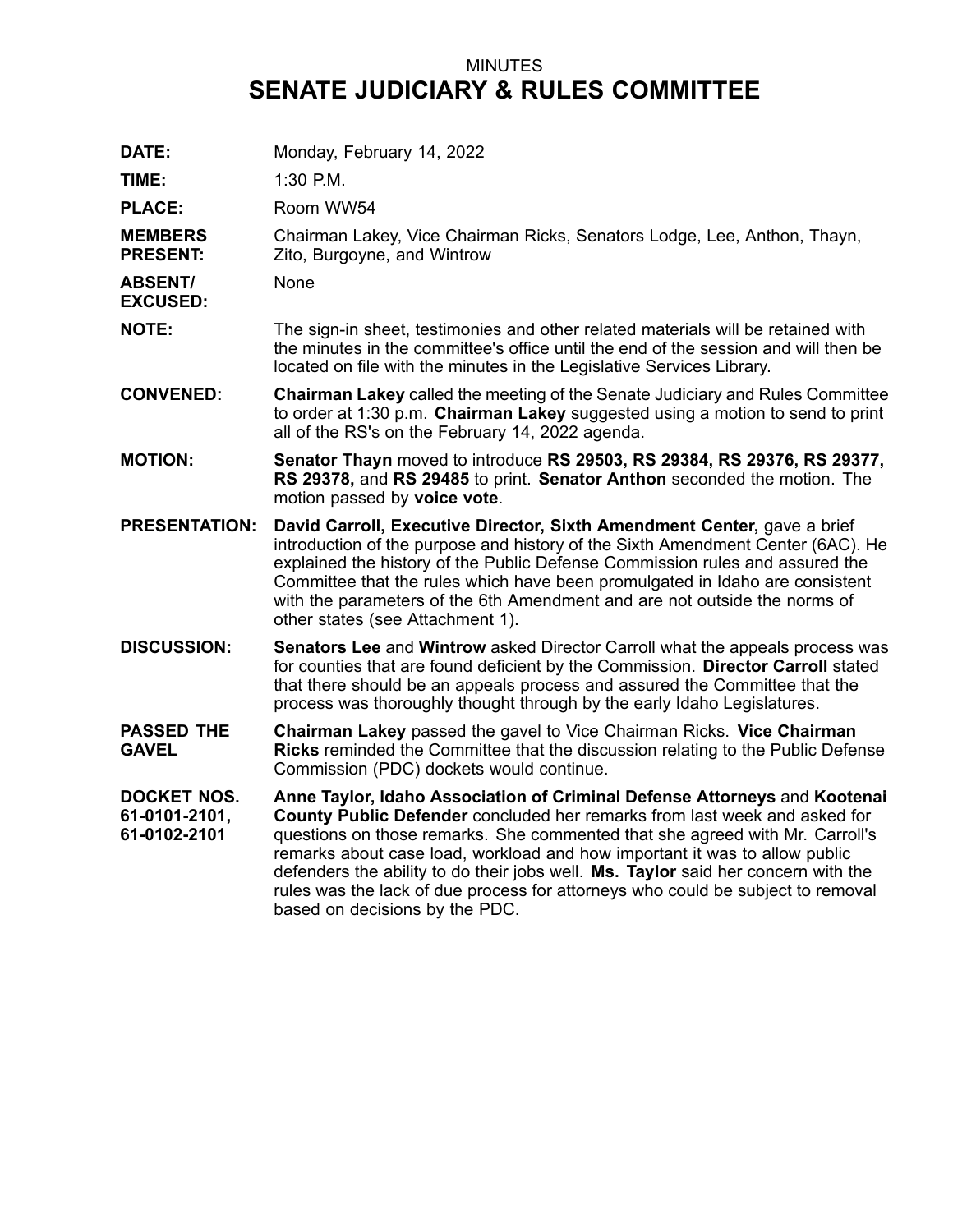## MINUTES **SENATE JUDICIARY & RULES COMMITTEE**

| DATE:                                               | Monday, February 14, 2022                                                                                                                                                                                                                                                                                                                                                                                                                                                                                                      |
|-----------------------------------------------------|--------------------------------------------------------------------------------------------------------------------------------------------------------------------------------------------------------------------------------------------------------------------------------------------------------------------------------------------------------------------------------------------------------------------------------------------------------------------------------------------------------------------------------|
| TIME:                                               | 1:30 P.M.                                                                                                                                                                                                                                                                                                                                                                                                                                                                                                                      |
| <b>PLACE:</b>                                       | Room WW54                                                                                                                                                                                                                                                                                                                                                                                                                                                                                                                      |
| <b>MEMBERS</b><br><b>PRESENT:</b>                   | Chairman Lakey, Vice Chairman Ricks, Senators Lodge, Lee, Anthon, Thayn,<br>Zito, Burgoyne, and Wintrow                                                                                                                                                                                                                                                                                                                                                                                                                        |
| <b>ABSENT/</b><br><b>EXCUSED:</b>                   | <b>None</b>                                                                                                                                                                                                                                                                                                                                                                                                                                                                                                                    |
| <b>NOTE:</b>                                        | The sign-in sheet, testimonies and other related materials will be retained with<br>the minutes in the committee's office until the end of the session and will then be<br>located on file with the minutes in the Legislative Services Library.                                                                                                                                                                                                                                                                               |
| <b>CONVENED:</b>                                    | <b>Chairman Lakey called the meeting of the Senate Judiciary and Rules Committee</b><br>to order at 1:30 p.m. Chairman Lakey suggested using a motion to send to print<br>all of the RS's on the February 14, 2022 agenda.                                                                                                                                                                                                                                                                                                     |
| <b>MOTION:</b>                                      | Senator Thayn moved to introduce RS 29503, RS 29384, RS 29376, RS 29377,<br>RS 29378, and RS 29485 to print. Senator Anthon seconded the motion. The<br>motion passed by voice vote.                                                                                                                                                                                                                                                                                                                                           |
| <b>PRESENTATION:</b>                                | David Carroll, Executive Director, Sixth Amendment Center, gave a brief<br>introduction of the purpose and history of the Sixth Amendment Center (6AC). He<br>explained the history of the Public Defense Commission rules and assured the<br>Committee that the rules which have been promulgated in Idaho are consistent<br>with the parameters of the 6th Amendment and are not outside the norms of<br>other states (see Attachment 1).                                                                                    |
| <b>DISCUSSION:</b>                                  | Senators Lee and Wintrow asked Director Carroll what the appeals process was<br>for counties that are found deficient by the Commission. Director Carroll stated<br>that there should be an appeals process and assured the Committee that the<br>process was thoroughly thought through by the early Idaho Legislatures.                                                                                                                                                                                                      |
| <b>PASSED THE</b><br><b>GAVEL</b>                   | Chairman Lakey passed the gavel to Vice Chairman Ricks. Vice Chairman<br>Ricks reminded the Committee that the discussion relating to the Public Defense<br>Commission (PDC) dockets would continue.                                                                                                                                                                                                                                                                                                                           |
| <b>DOCKET NOS.</b><br>61-0101-2101,<br>61-0102-2101 | Anne Taylor, Idaho Association of Criminal Defense Attorneys and Kootenai<br>County Public Defender concluded her remarks from last week and asked for<br>questions on those remarks. She commented that she agreed with Mr. Carroll's<br>remarks about case load, workload and how important it was to allow public<br>defenders the ability to do their jobs well. Ms. Taylor said her concern with the<br>rules was the lack of due process for attorneys who could be subject to removal<br>based on decisions by the PDC. |
|                                                     |                                                                                                                                                                                                                                                                                                                                                                                                                                                                                                                                |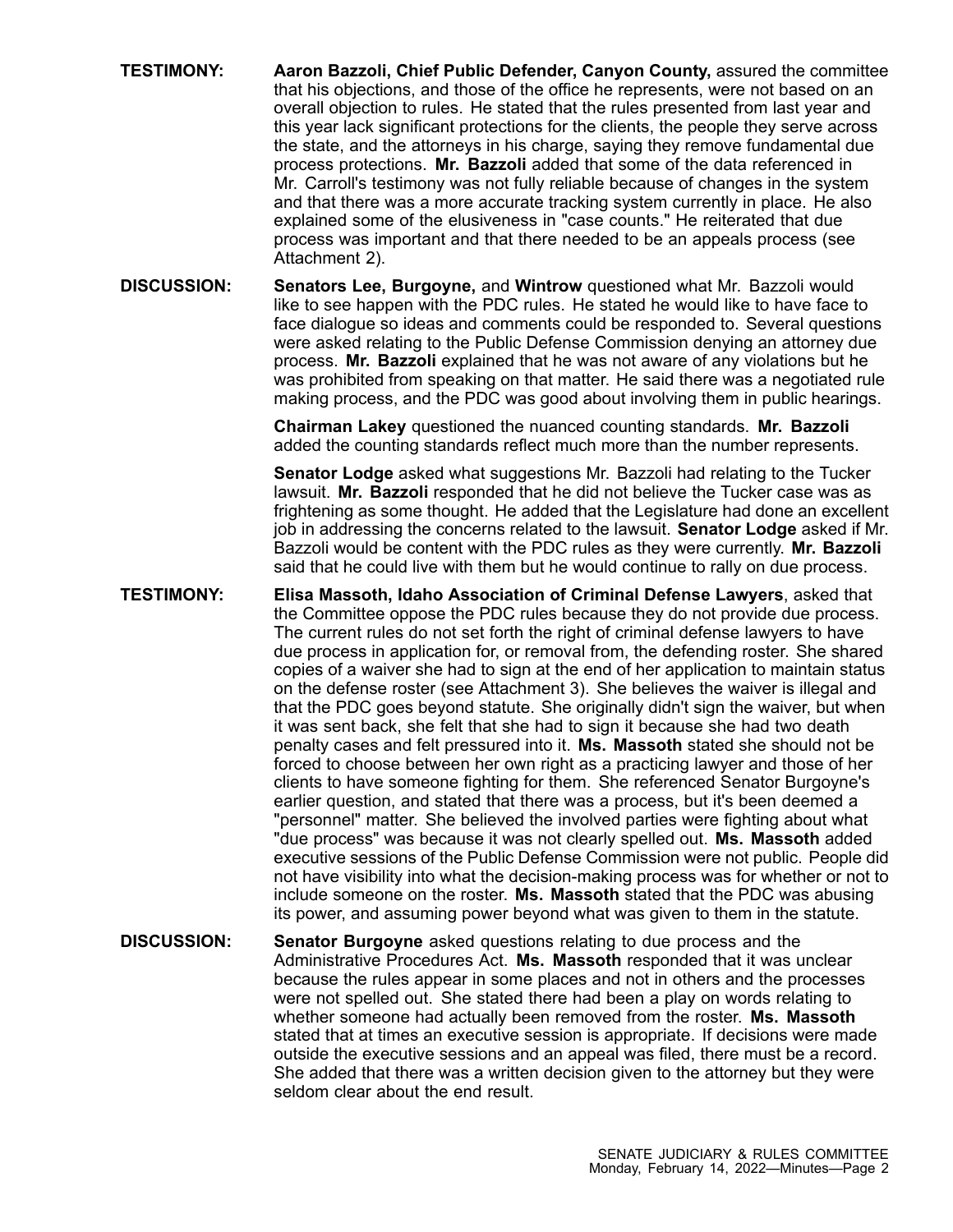- **TESTIMONY: Aaron Bazzoli, Chief Public Defender, Canyon County,** assured the committee that his objections, and those of the office he represents, were not based on an overall objection to rules. He stated that the rules presented from last year and this year lack significant protections for the clients, the people they serve across the state, and the attorneys in his charge, saying they remove fundamental due process protections. **Mr. Bazzoli** added that some of the data referenced in Mr. Carroll's testimony was not fully reliable because of changes in the system and that there was <sup>a</sup> more accurate tracking system currently in place. He also explained some of the elusiveness in "case counts." He reiterated that due process was important and that there needed to be an appeals process (see Attachment 2).
- **DISCUSSION: Senators Lee, Burgoyne,** and **Wintrow** questioned what Mr. Bazzoli would like to see happen with the PDC rules. He stated he would like to have face to face dialogue so ideas and comments could be responded to. Several questions were asked relating to the Public Defense Commission denying an attorney due process. **Mr. Bazzoli** explained that he was not aware of any violations but he was prohibited from speaking on that matter. He said there was <sup>a</sup> negotiated rule making process, and the PDC was good about involving them in public hearings.

**Chairman Lakey** questioned the nuanced counting standards. **Mr. Bazzoli** added the counting standards reflect much more than the number represents.

**Senator Lodge** asked what suggestions Mr. Bazzoli had relating to the Tucker lawsuit. **Mr. Bazzoli** responded that he did not believe the Tucker case was as frightening as some thought. He added that the Legislature had done an excellent job in addressing the concerns related to the lawsuit. **Senator Lodge** asked if Mr. Bazzoli would be content with the PDC rules as they were currently. **Mr. Bazzoli** said that he could live with them but he would continue to rally on due process.

- **TESTIMONY: Elisa Massoth, Idaho Association of Criminal Defense Lawyers**, asked that the Committee oppose the PDC rules because they do not provide due process. The current rules do not set forth the right of criminal defense lawyers to have due process in application for, or removal from, the defending roster. She shared copies of <sup>a</sup> waiver she had to sign at the end of her application to maintain status on the defense roster (see Attachment 3). She believes the waiver is illegal and that the PDC goes beyond statute. She originally didn't sign the waiver, but when it was sent back, she felt that she had to sign it because she had two death penalty cases and felt pressured into it. **Ms. Massoth** stated she should not be forced to choose between her own right as <sup>a</sup> practicing lawyer and those of her clients to have someone fighting for them. She referenced Senator Burgoyne's earlier question, and stated that there was <sup>a</sup> process, but it's been deemed <sup>a</sup> "personnel" matter. She believed the involved parties were fighting about what "due process" was because it was not clearly spelled out. **Ms. Massoth** added executive sessions of the Public Defense Commission were not public. People did not have visibility into what the decision-making process was for whether or not to include someone on the roster. **Ms. Massoth** stated that the PDC was abusing its power, and assuming power beyond what was given to them in the statute.
- **DISCUSSION: Senator Burgoyne** asked questions relating to due process and the Administrative Procedures Act. **Ms. Massoth** responded that it was unclear because the rules appear in some places and not in others and the processes were not spelled out. She stated there had been <sup>a</sup> play on words relating to whether someone had actually been removed from the roster. **Ms. Massoth** stated that at times an executive session is appropriate. If decisions were made outside the executive sessions and an appeal was filed, there must be <sup>a</sup> record. She added that there was <sup>a</sup> written decision given to the attorney but they were seldom clear about the end result.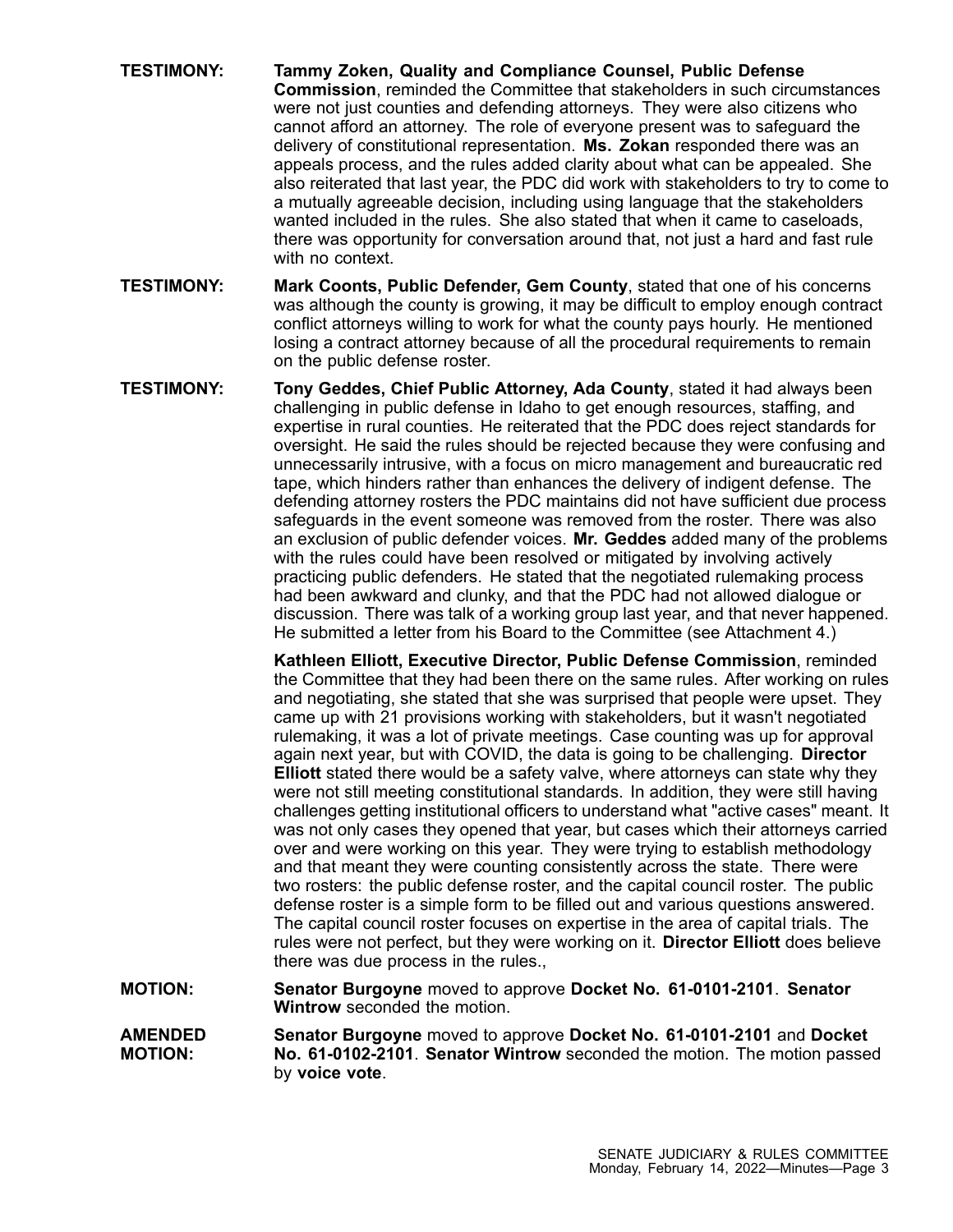- **TESTIMONY: Tammy Zoken, Quality and Compliance Counsel, Public Defense Commission**, reminded the Committee that stakeholders in such circumstances were not just counties and defending attorneys. They were also citizens who cannot afford an attorney. The role of everyone present was to safeguard the delivery of constitutional representation. **Ms. Zokan** responded there was an appeals process, and the rules added clarity about what can be appealed. She also reiterated that last year, the PDC did work with stakeholders to try to come to <sup>a</sup> mutually agreeable decision, including using language that the stakeholders wanted included in the rules. She also stated that when it came to caseloads, there was opportunity for conversation around that, not just <sup>a</sup> hard and fast rule with no context.
- **TESTIMONY: Mark Coonts, Public Defender, Gem County**, stated that one of his concerns was although the county is growing, it may be difficult to employ enough contract conflict attorneys willing to work for what the county pays hourly. He mentioned losing <sup>a</sup> contract attorney because of all the procedural requirements to remain on the public defense roster.
- **TESTIMONY: Tony Geddes, Chief Public Attorney, Ada County**, stated it had always been challenging in public defense in Idaho to get enough resources, staffing, and expertise in rural counties. He reiterated that the PDC does reject standards for oversight. He said the rules should be rejected because they were confusing and unnecessarily intrusive, with <sup>a</sup> focus on micro management and bureaucratic red tape, which hinders rather than enhances the delivery of indigent defense. The defending attorney rosters the PDC maintains did not have sufficient due process safeguards in the event someone was removed from the roster. There was also an exclusion of public defender voices. **Mr. Geddes** added many of the problems with the rules could have been resolved or mitigated by involving actively practicing public defenders. He stated that the negotiated rulemaking process had been awkward and clunky, and that the PDC had not allowed dialogue or discussion. There was talk of <sup>a</sup> working group last year, and that never happened. He submitted <sup>a</sup> letter from his Board to the Committee (see Attachment 4.)

**Kathleen Elliott, Executive Director, Public Defense Commission**, reminded the Committee that they had been there on the same rules. After working on rules and negotiating, she stated that she was surprised that people were upset. They came up with 21 provisions working with stakeholders, but it wasn't negotiated rulemaking, it was <sup>a</sup> lot of private meetings. Case counting was up for approval again next year, but with COVID, the data is going to be challenging. **Director Elliott** stated there would be <sup>a</sup> safety valve, where attorneys can state why they were not still meeting constitutional standards. In addition, they were still having challenges getting institutional officers to understand what "active cases" meant. It was not only cases they opened that year, but cases which their attorneys carried over and were working on this year. They were trying to establish methodology and that meant they were counting consistently across the state. There were two rosters: the public defense roster, and the capital council roster. The public defense roster is <sup>a</sup> simple form to be filled out and various questions answered. The capital council roster focuses on expertise in the area of capital trials. The rules were not perfect, but they were working on it. **Director Elliott** does believe there was due process in the rules.,

**MOTION: Senator Burgoyne** moved to approve **Docket No. 61-0101-2101**. **Senator Wintrow** seconded the motion.

**AMENDED MOTION: Senator Burgoyne** moved to approve **Docket No. 61-0101-2101** and **Docket No. 61-0102-2101**. **Senator Wintrow** seconded the motion. The motion passed by **voice vote**.